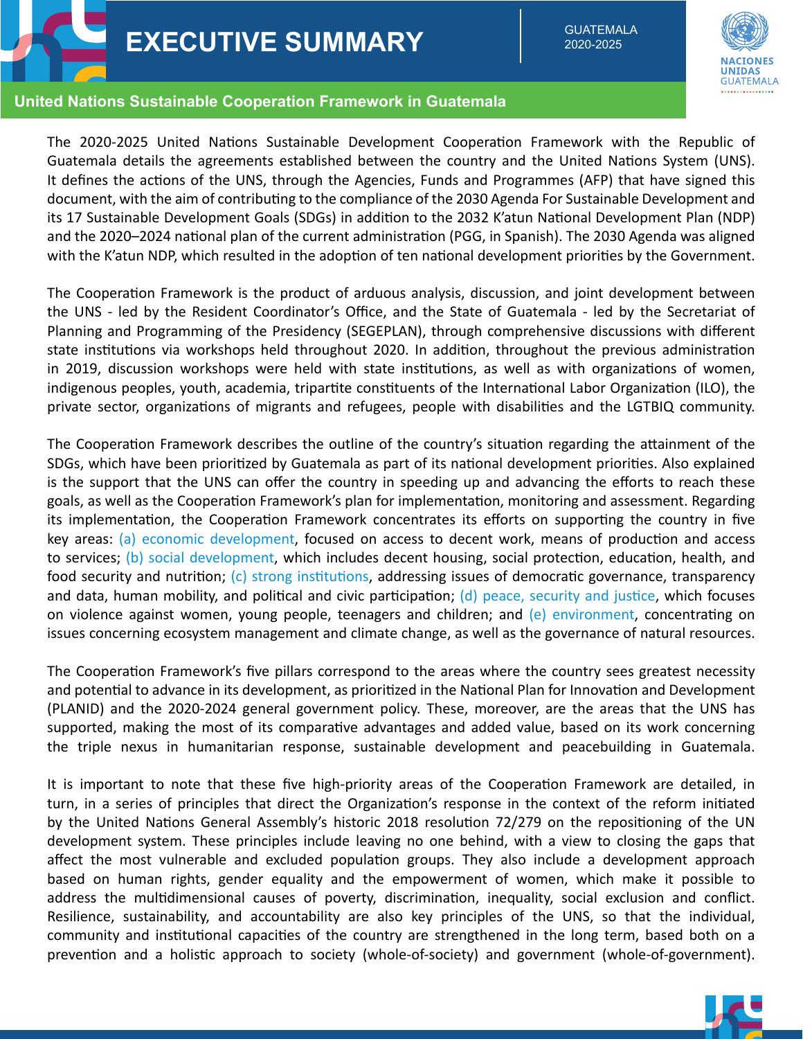

**EXECUTIVE SUMMARY** EXECUTIVE

2020-2025



## **United Nations Sustainable Cooperation Framework in Guatemala**

The 2020-2025 United Nations Sustainable Development Cooperation Framework with the Republic of Guatemala details the agreements established between the country and the United Nations System (UNS). It defines the actions of the UNS, through the Agencies, Funds and Programmes (AFP) that have signed this document, with the aim of contributing to the compliance of the 2030 Agenda For Sustainable Development and its 17 Sustainable Development Goals (SDGs) in addition to the 2032 K'atun National Development Plan (NDP) and the 2020–2024 national plan of the current administration (PGG, in Spanish). The 2030 Agenda was aligned with the K'atun NDP, which resulted in the adoption of ten national development priorities by the Government.

The Cooperation Framework is the product of arduous analysis, discussion, and joint development between the UNS - led by the Resident Coordinator's Office, and the State of Guatemala - led by the Secretariat of Planning and Programming of the Presidency (SEGEPLAN), through comprehensive discussions with different state institutions via workshops held throughout 2020. In addition, throughout the previous administration in 2019, discussion workshops were held with state institutions, as well as with organizations of women, indigenous peoples, youth, academia, tripartite constituents of the International Labor Organization (ILO), the private sector, organizations of migrants and refugees, people with disabilities and the LGTBIQ community.

The Cooperation Framework describes the outline of the country's situation regarding the attainment of the SDGs, which have been prioritized by Guatemala as part of its national development priorities. Also explained is the support that the UNS can offer the country in speeding up and advancing the efforts to reach these goals, as well as the Cooperation Framework's plan for implementation, monitoring and assessment. Regarding its implementation, the Cooperation Framework concentrates its efforts on supporting the country in five key areas: (a) economic development, focused on access to decent work, means of production and access to services; (b) social development, which includes decent housing, social protection, education, health, and food security and nutrition; (c) strong institutions, addressing issues of democratic governance, transparency and data, human mobility, and political and civic participation;  $(d)$  peace, security and justice, which focuses on violence against women, young people, teenagers and children; and  $(e)$  environment, concentrating on issues concerning ecosystem management and climate change, as well as the governance of natural resources.

The Cooperation Framework's five pillars correspond to the areas where the country sees greatest necessity and potential to advance in its development, as prioritized in the National Plan for Innovation and Development (PLANID) and the 2020-2024 general government policy. These, moreover, are the areas that the UNS has supported, making the most of its comparative advantages and added value, based on its work concerning the triple nexus in humanitarian response, sustainable development and peacebuilding in Guatemala.

It is important to note that these five high-priority areas of the Cooperation Framework are detailed, in turn, in a series of principles that direct the Organization's response in the context of the reform initiated by the United Nations General Assembly's historic 2018 resolution 72/279 on the repositioning of the UN development system. These principles include leaving no one behind, with a view to closing the gaps that affect the most vulnerable and excluded population groups. They also include a development approach based on human rights, gender equality and the empowerment of women, which make it possible to address the multidimensional causes of poverty, discrimination, inequality, social exclusion and conflict. Resilience, sustainability, and accountability are also key principles of the UNS, so that the individual, community and institutional capacities of the country are strengthened in the long term, based both on a prevention and a holistic approach to society (whole-of-society) and government (whole-of-government).

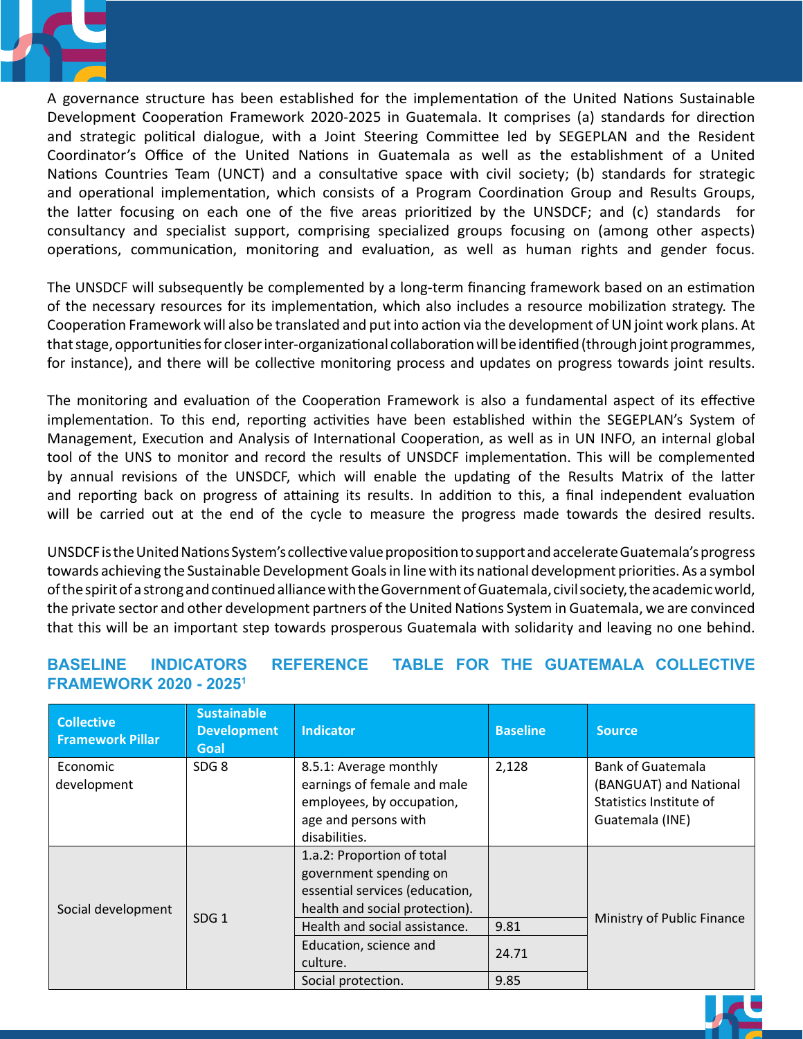

A governance structure has been established for the implementation of the United Nations Sustainable Development Cooperation Framework 2020-2025 in Guatemala. It comprises (a) standards for direction and strategic political dialogue, with a Joint Steering Committee led by SEGEPLAN and the Resident Coordinator's Office of the United Nations in Guatemala as well as the establishment of a United Nations Countries Team (UNCT) and a consultative space with civil society; (b) standards for strategic and operational implementation, which consists of a Program Coordination Group and Results Groups, the latter focusing on each one of the five areas prioritized by the UNSDCF; and (c) standards for consultancy and specialist support, comprising specialized groups focusing on (among other aspects) consultantly and operation support, comprising operatized groups recusing on (among other depects, ations, communication, monitoring and cvaluation, as well as human rights and genuer in

The UNSDCF will subsequently be complemented by a long-term financing framework based on an estimation of the necessary resources for its implementation, which also includes a resource mobilization strategy. The Cooperation Framework will also be translated and put into action via the development of UN joint work plans. At that stage, opportunities for closer inter-organizational collaboration will be identified (through joint programmes, for instance), and there will be collective monitoring process and updates on progress towards joint results. UNSUCT WILL

The monitoring and evaluation of the Cooperation Framework is also a fundamental aspect of its effective implementation. To this end, reporting activities have been established within the SEGEPLAN's System of Management, Execution and Analysis of International Cooperation, as well as in UN INFO, an internal global tool of the UNS to monitor and record the results of UNSDCF implementation. This will be complemented by annual revisions of the UNSDCF, which will enable the updating of the Results Matrix of the latter and reporting back on progress of attaining its results. In addition to this, a final independent evaluation will be carried out at the end of the cycle to measure the progress made towards the desired results.

UNSDCF is the United Nations System's collective value proposition to support and accelerate Guatemala's progress towards achieving the Sustainable Development Goals in line with its national development priorities. As a symbol of the spirit of a strong and continued alliance with the Government of Guatemala, civil society, the academic world, of the private sector and other development partners of the United Nations System in Guatemala, we are convinced that this will be an important step towards prosperous Guatemala with solidarity and leaving no one behind.

## **BASELINE INDICATORS REFERENCE TABLE FOR THE GUATEMALA COLLECTIVE FRAMEWORK 2020 - 2025<sup>1</sup>** and the Guatemala Collection of the Guatemala Collection of the Guatemala Collection of the Guatemala Collection of the Guatemala Collection of the Guatemala Collection of the Guatemala Collectio

| <b>Collective</b><br><b>Framework Pillar</b> | <b>Sustainable</b><br><b>Development</b><br>Goal | <b>Indicator</b>               | <b>Baseline</b> | <b>Source</b>              |
|----------------------------------------------|--------------------------------------------------|--------------------------------|-----------------|----------------------------|
| Economic                                     | SDG <sub>8</sub>                                 | 8.5.1: Average monthly         | 2,128           | <b>Bank of Guatemala</b>   |
| development                                  |                                                  | earnings of female and male    |                 | (BANGUAT) and National     |
|                                              |                                                  | employees, by occupation,      |                 | Statistics Institute of    |
|                                              |                                                  | age and persons with           |                 | Guatemala (INE)            |
|                                              |                                                  | disabilities.                  |                 |                            |
| Social development                           | SDG <sub>1</sub>                                 | 1.a.2: Proportion of total     |                 |                            |
|                                              |                                                  | government spending on         |                 |                            |
|                                              |                                                  | essential services (education, |                 | Ministry of Public Finance |
|                                              |                                                  | health and social protection). |                 |                            |
|                                              |                                                  | Health and social assistance.  | 9.81            |                            |
|                                              |                                                  | Education, science and         | 24.71           |                            |
|                                              |                                                  | culture.                       |                 |                            |
|                                              |                                                  | Social protection.             | 9.85            |                            |